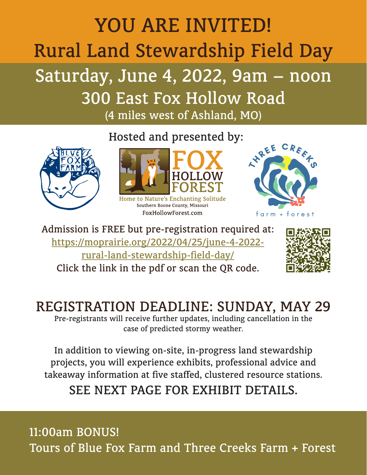# YOU ARE INVITED! Rural Land Stewardship Field Day

## Saturday, June 4, 2022, 9am – noon 300 East Fox Hollow Road

(4 miles west of Ashland, MO)

Hosted and presented by:





FoxHollowForest.com

**INREE** farm + forest

Admission is FREE but pre-registration required at: [https://moprairie.org/2022/04/25/june-4-2022](https://moprairie.org/2022/04/25/june-4-2022-rural-land-stewardship-field-day/) [rural-land-stewardship-field-day/](https://moprairie.org/2022/04/25/june-4-2022-rural-land-stewardship-field-day/) Click the link in the pdf or scan the QR code.



## REGISTRATION DEADLINE: SUNDAY, MAY 29

Pre-registrants will receive further updates, including cancellation in the case of predicted stormy weather.

In addition to viewing on-site, in-progress land stewardship projects, you will experience exhibits, professional advice and takeaway information at five staffed, clustered resource stations.

### SEE NEXT PAGE FOR EXHIBIT DETAILS.

11:00am BONUS! Tours of Blue Fox Farm and Three Creeks Farm + Forest